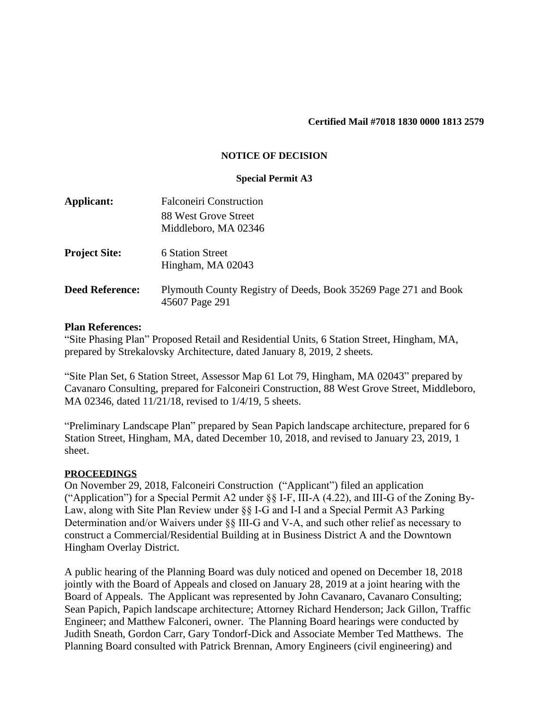#### **Certified Mail #7018 1830 0000 1813 2579**

## **NOTICE OF DECISION**

#### **Special Permit A3**

| Applicant:             | <b>Falconeiri Construction</b>                                                    |
|------------------------|-----------------------------------------------------------------------------------|
|                        | 88 West Grove Street                                                              |
|                        | Middleboro, MA 02346                                                              |
| <b>Project Site:</b>   | 6 Station Street<br>Hingham, MA 02043                                             |
| <b>Deed Reference:</b> | Plymouth County Registry of Deeds, Book 35269 Page 271 and Book<br>45607 Page 291 |
|                        |                                                                                   |

## **Plan References:**

"Site Phasing Plan" Proposed Retail and Residential Units, 6 Station Street, Hingham, MA, prepared by Strekalovsky Architecture, dated January 8, 2019, 2 sheets.

"Site Plan Set, 6 Station Street, Assessor Map 61 Lot 79, Hingham, MA 02043" prepared by Cavanaro Consulting, prepared for Falconeiri Construction, 88 West Grove Street, Middleboro, MA 02346, dated 11/21/18, revised to 1/4/19, 5 sheets.

"Preliminary Landscape Plan" prepared by Sean Papich landscape architecture, prepared for 6 Station Street, Hingham, MA, dated December 10, 2018, and revised to January 23, 2019, 1 sheet.

## **PROCEEDINGS**

On November 29, 2018, Falconeiri Construction ("Applicant") filed an application ("Application") for a Special Permit A2 under §§ I-F, III-A (4.22), and III-G of the Zoning By-Law, along with Site Plan Review under §§ I-G and I-I and a Special Permit A3 Parking Determination and/or Waivers under §§ III-G and V-A, and such other relief as necessary to construct a Commercial/Residential Building at in Business District A and the Downtown Hingham Overlay District.

A public hearing of the Planning Board was duly noticed and opened on December 18, 2018 jointly with the Board of Appeals and closed on January 28, 2019 at a joint hearing with the Board of Appeals. The Applicant was represented by John Cavanaro, Cavanaro Consulting; Sean Papich, Papich landscape architecture; Attorney Richard Henderson; Jack Gillon, Traffic Engineer; and Matthew Falconeri, owner. The Planning Board hearings were conducted by Judith Sneath, Gordon Carr, Gary Tondorf-Dick and Associate Member Ted Matthews. The Planning Board consulted with Patrick Brennan, Amory Engineers (civil engineering) and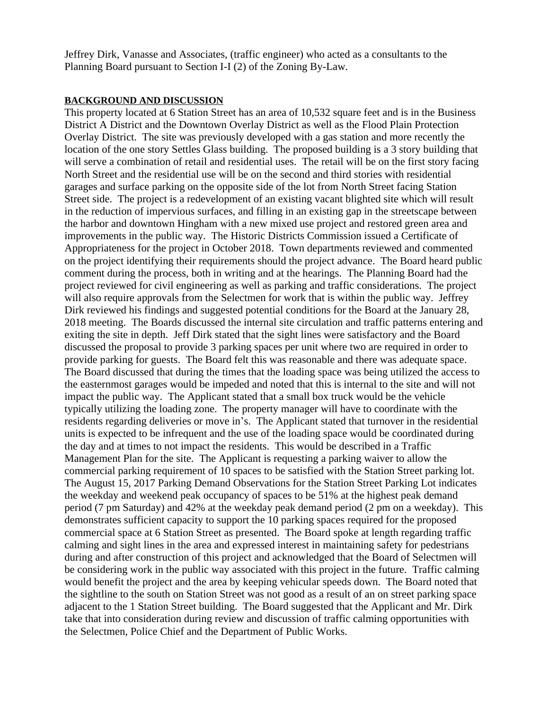Jeffrey Dirk, Vanasse and Associates, (traffic engineer) who acted as a consultants to the Planning Board pursuant to Section I-I (2) of the Zoning By-Law.

## **BACKGROUND AND DISCUSSION**

This property located at 6 Station Street has an area of 10,532 square feet and is in the Business District A District and the Downtown Overlay District as well as the Flood Plain Protection Overlay District. The site was previously developed with a gas station and more recently the location of the one story Settles Glass building. The proposed building is a 3 story building that will serve a combination of retail and residential uses. The retail will be on the first story facing North Street and the residential use will be on the second and third stories with residential garages and surface parking on the opposite side of the lot from North Street facing Station Street side. The project is a redevelopment of an existing vacant blighted site which will result in the reduction of impervious surfaces, and filling in an existing gap in the streetscape between the harbor and downtown Hingham with a new mixed use project and restored green area and improvements in the public way. The Historic Districts Commission issued a Certificate of Appropriateness for the project in October 2018. Town departments reviewed and commented on the project identifying their requirements should the project advance. The Board heard public comment during the process, both in writing and at the hearings. The Planning Board had the project reviewed for civil engineering as well as parking and traffic considerations. The project will also require approvals from the Selectmen for work that is within the public way. Jeffrey Dirk reviewed his findings and suggested potential conditions for the Board at the January 28, 2018 meeting. The Boards discussed the internal site circulation and traffic patterns entering and exiting the site in depth. Jeff Dirk stated that the sight lines were satisfactory and the Board discussed the proposal to provide 3 parking spaces per unit where two are required in order to provide parking for guests. The Board felt this was reasonable and there was adequate space. The Board discussed that during the times that the loading space was being utilized the access to the easternmost garages would be impeded and noted that this is internal to the site and will not impact the public way. The Applicant stated that a small box truck would be the vehicle typically utilizing the loading zone. The property manager will have to coordinate with the residents regarding deliveries or move in's. The Applicant stated that turnover in the residential units is expected to be infrequent and the use of the loading space would be coordinated during the day and at times to not impact the residents. This would be described in a Traffic Management Plan for the site. The Applicant is requesting a parking waiver to allow the commercial parking requirement of 10 spaces to be satisfied with the Station Street parking lot. The August 15, 2017 Parking Demand Observations for the Station Street Parking Lot indicates the weekday and weekend peak occupancy of spaces to be 51% at the highest peak demand period (7 pm Saturday) and 42% at the weekday peak demand period (2 pm on a weekday). This demonstrates sufficient capacity to support the 10 parking spaces required for the proposed commercial space at 6 Station Street as presented. The Board spoke at length regarding traffic calming and sight lines in the area and expressed interest in maintaining safety for pedestrians during and after construction of this project and acknowledged that the Board of Selectmen will be considering work in the public way associated with this project in the future. Traffic calming would benefit the project and the area by keeping vehicular speeds down. The Board noted that the sightline to the south on Station Street was not good as a result of an on street parking space adjacent to the 1 Station Street building. The Board suggested that the Applicant and Mr. Dirk take that into consideration during review and discussion of traffic calming opportunities with the Selectmen, Police Chief and the Department of Public Works.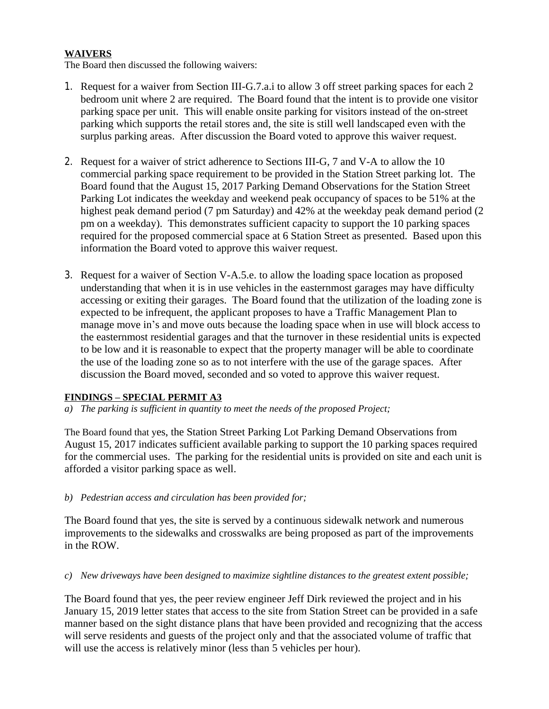# **WAIVERS**

The Board then discussed the following waivers:

- 1. Request for a waiver from Section III-G.7.a.i to allow 3 off street parking spaces for each 2 bedroom unit where 2 are required. The Board found that the intent is to provide one visitor parking space per unit. This will enable onsite parking for visitors instead of the on-street parking which supports the retail stores and, the site is still well landscaped even with the surplus parking areas. After discussion the Board voted to approve this waiver request.
- 2. Request for a waiver of strict adherence to Sections III-G, 7 and V-A to allow the 10 commercial parking space requirement to be provided in the Station Street parking lot. The Board found that the August 15, 2017 Parking Demand Observations for the Station Street Parking Lot indicates the weekday and weekend peak occupancy of spaces to be 51% at the highest peak demand period (7 pm Saturday) and 42% at the weekday peak demand period (2 pm on a weekday). This demonstrates sufficient capacity to support the 10 parking spaces required for the proposed commercial space at 6 Station Street as presented. Based upon this information the Board voted to approve this waiver request.
- 3. Request for a waiver of Section V-A.5.e. to allow the loading space location as proposed understanding that when it is in use vehicles in the easternmost garages may have difficulty accessing or exiting their garages. The Board found that the utilization of the loading zone is expected to be infrequent, the applicant proposes to have a Traffic Management Plan to manage move in's and move outs because the loading space when in use will block access to the easternmost residential garages and that the turnover in these residential units is expected to be low and it is reasonable to expect that the property manager will be able to coordinate the use of the loading zone so as to not interfere with the use of the garage spaces. After discussion the Board moved, seconded and so voted to approve this waiver request.

# **FINDINGS – SPECIAL PERMIT A3**

*a) The parking is sufficient in quantity to meet the needs of the proposed Project;*

The Board found that yes, the Station Street Parking Lot Parking Demand Observations from August 15, 2017 indicates sufficient available parking to support the 10 parking spaces required for the commercial uses. The parking for the residential units is provided on site and each unit is afforded a visitor parking space as well.

# *b) Pedestrian access and circulation has been provided for;*

The Board found that yes, the site is served by a continuous sidewalk network and numerous improvements to the sidewalks and crosswalks are being proposed as part of the improvements in the ROW.

*c) New driveways have been designed to maximize sightline distances to the greatest extent possible;*

The Board found that yes, the peer review engineer Jeff Dirk reviewed the project and in his January 15, 2019 letter states that access to the site from Station Street can be provided in a safe manner based on the sight distance plans that have been provided and recognizing that the access will serve residents and guests of the project only and that the associated volume of traffic that will use the access is relatively minor (less than 5 vehicles per hour).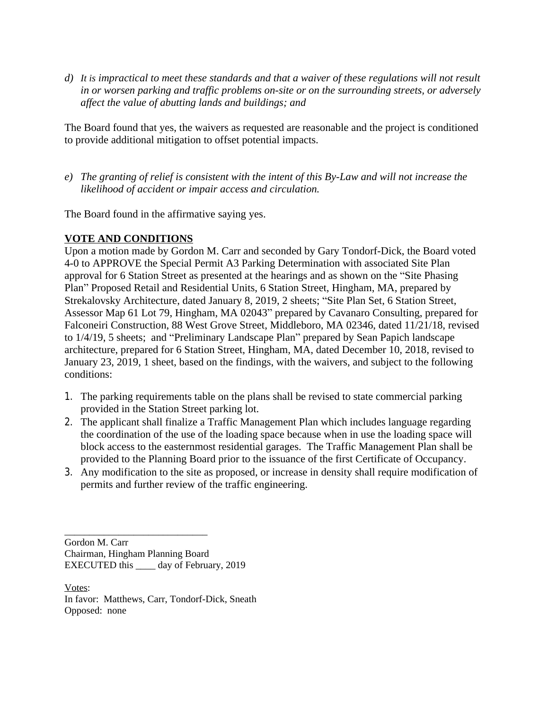*d) It is impractical to meet these standards and that a waiver of these regulations will not result in or worsen parking and traffic problems on-site or on the surrounding streets, or adversely affect the value of abutting lands and buildings; and*

The Board found that yes, the waivers as requested are reasonable and the project is conditioned to provide additional mitigation to offset potential impacts.

*e) The granting of relief is consistent with the intent of this By-Law and will not increase the likelihood of accident or impair access and circulation.*

The Board found in the affirmative saying yes.

# **VOTE AND CONDITIONS**

Upon a motion made by Gordon M. Carr and seconded by Gary Tondorf-Dick, the Board voted 4-0 to APPROVE the Special Permit A3 Parking Determination with associated Site Plan approval for 6 Station Street as presented at the hearings and as shown on the "Site Phasing Plan" Proposed Retail and Residential Units, 6 Station Street, Hingham, MA, prepared by Strekalovsky Architecture, dated January 8, 2019, 2 sheets; "Site Plan Set, 6 Station Street, Assessor Map 61 Lot 79, Hingham, MA 02043" prepared by Cavanaro Consulting, prepared for Falconeiri Construction, 88 West Grove Street, Middleboro, MA 02346, dated 11/21/18, revised to 1/4/19, 5 sheets; and "Preliminary Landscape Plan" prepared by Sean Papich landscape architecture, prepared for 6 Station Street, Hingham, MA, dated December 10, 2018, revised to January 23, 2019, 1 sheet, based on the findings, with the waivers, and subject to the following conditions:

- 1. The parking requirements table on the plans shall be revised to state commercial parking provided in the Station Street parking lot.
- 2. The applicant shall finalize a Traffic Management Plan which includes language regarding the coordination of the use of the loading space because when in use the loading space will block access to the easternmost residential garages. The Traffic Management Plan shall be provided to the Planning Board prior to the issuance of the first Certificate of Occupancy.
- 3. Any modification to the site as proposed, or increase in density shall require modification of permits and further review of the traffic engineering.

Gordon M. Carr Chairman, Hingham Planning Board EXECUTED this \_\_\_\_ day of February, 2019

\_\_\_\_\_\_\_\_\_\_\_\_\_\_\_\_\_\_\_\_\_\_\_\_\_\_\_\_\_

Votes: In favor: Matthews, Carr, Tondorf-Dick, Sneath Opposed: none